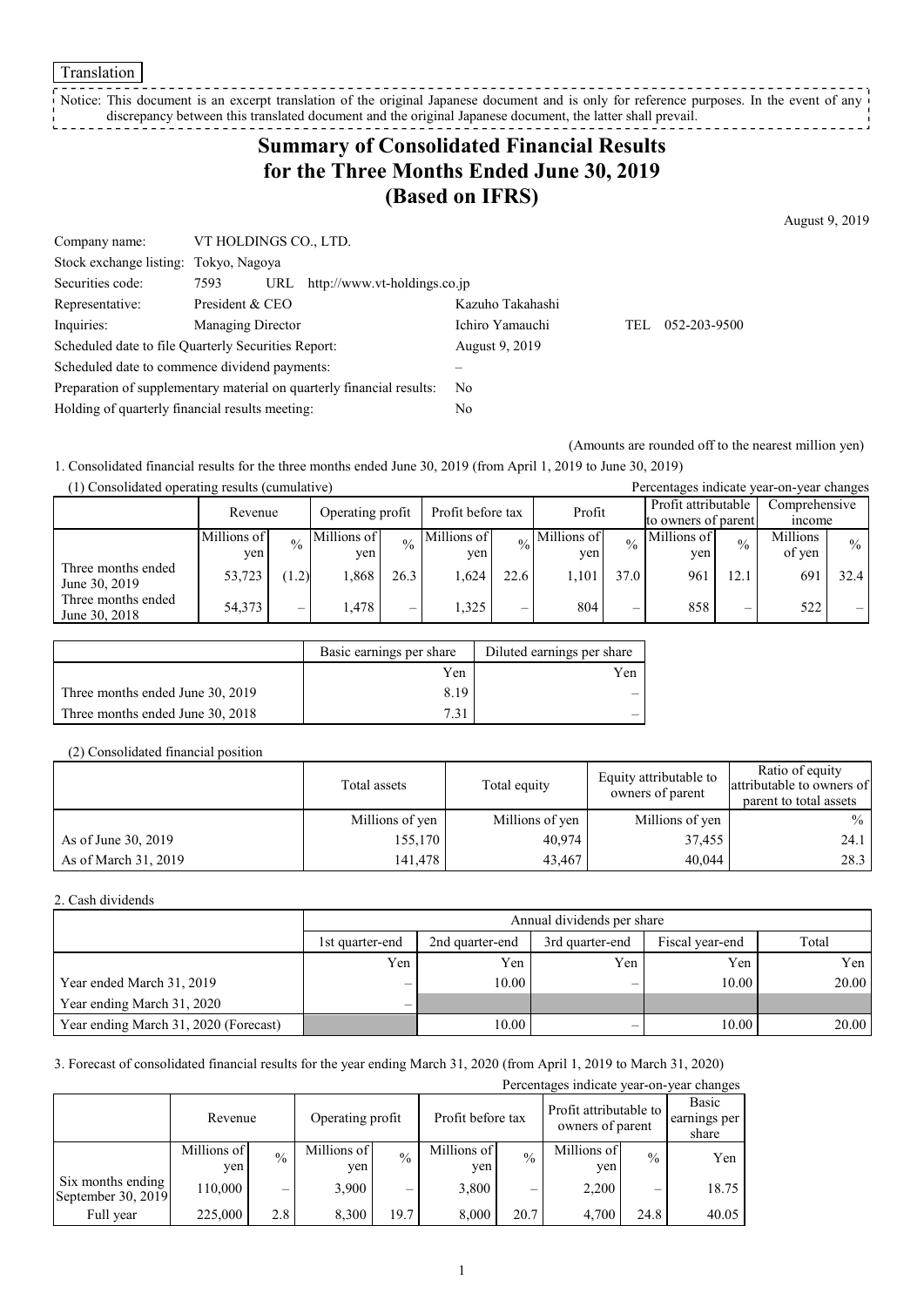Translation

Notice: This document is an excerpt translation of the original Japanese document and is only for reference purposes. In the event of any discrepancy between this translated document and the original Japanese document, the latter shall prevail.

# **Summary of Consolidated Financial Results for the Three Months Ended June 30, 2019 (Based on IFRS)**

Company name: VT HOLDINGS CO., LTD. Stock exchange listing: Tokyo, Nagoya Securities code: 7593 URL http://www.vt-holdings.co.jp Representative: President & CEO Kazuho Takahashi Inquiries: Managing Director Ichiro Yamauchi TEL 052-203-9500 Scheduled date to file Quarterly Securities Report: August 9, 2019 Scheduled date to commence dividend payments: – Preparation of supplementary material on quarterly financial results: No Holding of quarterly financial results meeting: No

(Amounts are rounded off to the nearest million yen)

1. Consolidated financial results for the three months ended June 30, 2019 (from April 1, 2019 to June 30, 2019)

| (1) Consolidated operating results (cumulative) |             |                                |             |                                       |             |        |                            | Percentages indicate year-on-year changes |                     |               |               |               |
|-------------------------------------------------|-------------|--------------------------------|-------------|---------------------------------------|-------------|--------|----------------------------|-------------------------------------------|---------------------|---------------|---------------|---------------|
|                                                 | Revenue     |                                |             | Profit before tax<br>Operating profit |             | Profit |                            |                                           | Profit attributable |               | Comprehensive |               |
|                                                 |             |                                |             |                                       |             |        |                            |                                           | to owners of parent |               | <i>n</i> come |               |
|                                                 | Millions of | $\frac{0}{0}$                  | Millions of | $\frac{0}{0}$                         | Millions of |        | $\frac{1}{20}$ Millions of | $\frac{0}{0}$                             | Millions of         | $\frac{0}{0}$ | Millions      | $\frac{0}{0}$ |
|                                                 | yen         |                                | ven         |                                       | ven         |        | ven                        |                                           | ven                 |               | of yen        |               |
| Three months ended<br>June 30, 2019             | 53,723      | (1.2)                          | 1.868       | 26.3                                  | 1.624       | 22.6   | 1.101                      | 37.0                                      | 961                 | 12.1          | 691           | 32.4          |
| Three months ended<br>June 30, 2018             | 54,373      | $\qquad \qquad \longleftarrow$ | 1.478       | $\overline{\phantom{0}}$              | 1.325       | –      | 804                        | –                                         | 858                 |               | 522           |               |

|                                  | Basic earnings per share | Diluted earnings per share |
|----------------------------------|--------------------------|----------------------------|
|                                  | Yen                      | Yen                        |
| Three months ended June 30, 2019 | 8.19                     |                            |
| Three months ended June 30, 2018 | 7 21                     |                            |

#### (2) Consolidated financial position

|                      | Total assets    | Total equity    | Equity attributable to<br>owners of parent | Ratio of equity<br>attributable to owners of<br>parent to total assets |
|----------------------|-----------------|-----------------|--------------------------------------------|------------------------------------------------------------------------|
|                      | Millions of yen | Millions of yen | Millions of yen                            | $\%$                                                                   |
| As of June 30, 2019  | 155,170         | 40,974          | 37,455                                     | 24.1                                                                   |
| As of March 31, 2019 | 141,478         | 43,467          | 40,044                                     | 28.3                                                                   |

#### 2. Cash dividends

|                                       |                          | Annual dividends per share |                 |                 |       |  |  |  |
|---------------------------------------|--------------------------|----------------------------|-----------------|-----------------|-------|--|--|--|
|                                       | 1st quarter-end          | 2nd quarter-end            | 3rd quarter-end | Fiscal year-end | Total |  |  |  |
|                                       | Yen                      | Yen                        | Yen             | Yen             | Yen l |  |  |  |
| Year ended March 31, 2019             | $\overline{\phantom{0}}$ | 10.00                      | -               | 10.00           | 20.00 |  |  |  |
| Year ending March 31, 2020            | $\overline{\phantom{0}}$ |                            |                 |                 |       |  |  |  |
| Year ending March 31, 2020 (Forecast) |                          | 10.00                      |                 | 10.00           | 20.00 |  |  |  |

### 3. Forecast of consolidated financial results for the year ending March 31, 2020 (from April 1, 2019 to March 31, 2020)

| Percentages indicate year-on-year changes |                    |               |                    |               |                    |               |                                            |               |                                |
|-------------------------------------------|--------------------|---------------|--------------------|---------------|--------------------|---------------|--------------------------------------------|---------------|--------------------------------|
|                                           | Revenue            |               | Operating profit   |               | Profit before tax  |               | Profit attributable to<br>owners of parent |               | Basic<br>earnings per<br>share |
|                                           | Millions of<br>ven | $\frac{0}{0}$ | Millions of<br>yen | $\frac{0}{0}$ | Millions of<br>yen | $\frac{0}{0}$ | Millions of<br>yen                         | $\frac{0}{0}$ | Yen                            |
| Six months ending<br>September 30, 2019   | 110,000            |               | 3,900              | -             | 3,800              |               | 2.200                                      | –             | 18.75                          |
| Full year                                 | 225,000            | 2.8           | 8,300              | 19.7          | 8,000              | 20.7          | 4.700                                      | 24.8          | 40.05                          |

August 9, 2019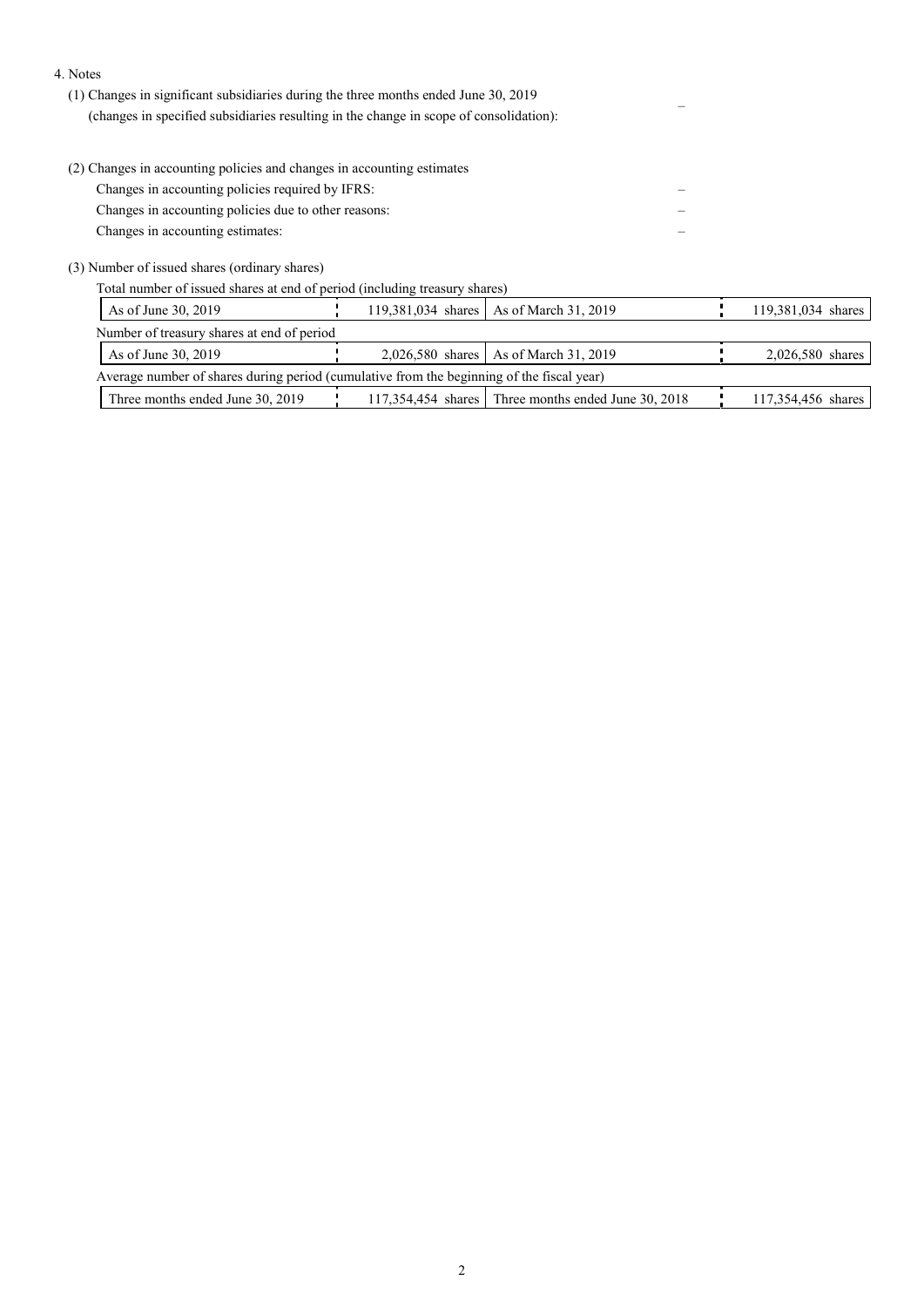#### 4. Notes

- (1) Changes in significant subsidiaries during the three months ended June 30, 2019 (changes in specified subsidiaries resulting in the change in scope of consolidation): –
- (2) Changes in accounting policies and changes in accounting estimates

Changes in accounting policies required by IFRS: –

Changes in accounting policies due to other reasons: – Changes in accounting estimates: –

(3) Number of issued shares (ordinary shares)

Total number of issued shares at end of period (including treasury shares)

| As of June 30, 2019                                                                       |  |  | 119,381,034 shares   As of March 31, 2019             |  | 119,381,034 shares |  |  |
|-------------------------------------------------------------------------------------------|--|--|-------------------------------------------------------|--|--------------------|--|--|
| Number of treasury shares at end of period                                                |  |  |                                                       |  |                    |  |  |
| As of June 30, 2019                                                                       |  |  | 2,026,580 shares   As of March 31, 2019               |  | 2,026,580 shares   |  |  |
| Average number of shares during period (cumulative from the beginning of the fiscal year) |  |  |                                                       |  |                    |  |  |
| Three months ended June 30, 2019                                                          |  |  | $117,354,454$ shares Three months ended June 30, 2018 |  | 117,354,456 shares |  |  |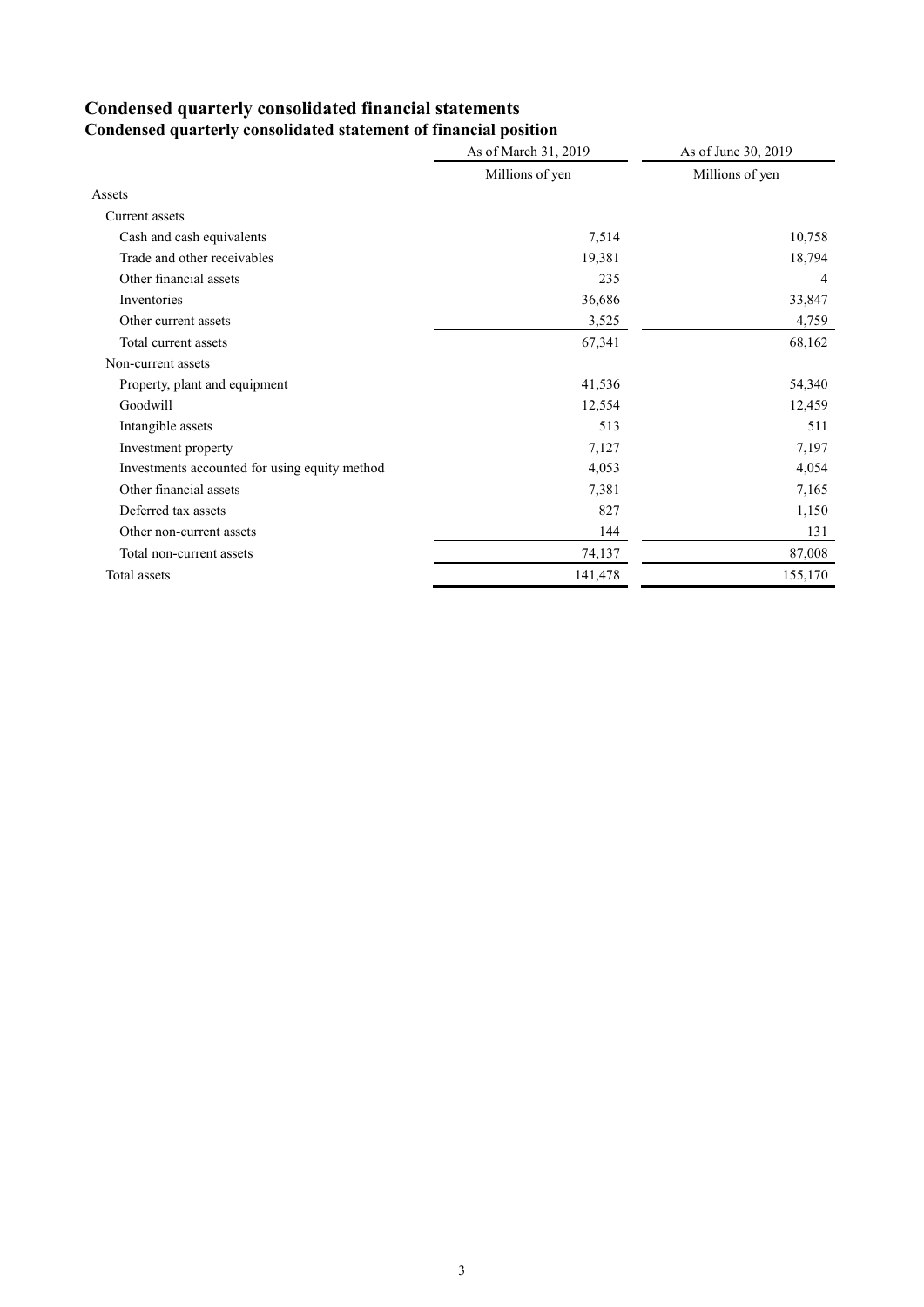# **Condensed quarterly consolidated financial statements**

|                                               | As of March 31, 2019 | As of June 30, 2019 |
|-----------------------------------------------|----------------------|---------------------|
|                                               | Millions of yen      | Millions of yen     |
| Assets                                        |                      |                     |
| Current assets                                |                      |                     |
| Cash and cash equivalents                     | 7,514                | 10,758              |
| Trade and other receivables                   | 19,381               | 18,794              |
| Other financial assets                        | 235                  | 4                   |
| Inventories                                   | 36,686               | 33,847              |
| Other current assets                          | 3,525                | 4,759               |
| Total current assets                          | 67,341               | 68,162              |
| Non-current assets                            |                      |                     |
| Property, plant and equipment                 | 41,536               | 54,340              |
| Goodwill                                      | 12,554               | 12,459              |
| Intangible assets                             | 513                  | 511                 |
| Investment property                           | 7,127                | 7,197               |
| Investments accounted for using equity method | 4,053                | 4,054               |
| Other financial assets                        | 7,381                | 7,165               |
| Deferred tax assets                           | 827                  | 1,150               |
| Other non-current assets                      | 144                  | 131                 |
| Total non-current assets                      | 74,137               | 87,008              |
| Total assets                                  | 141,478              | 155,170             |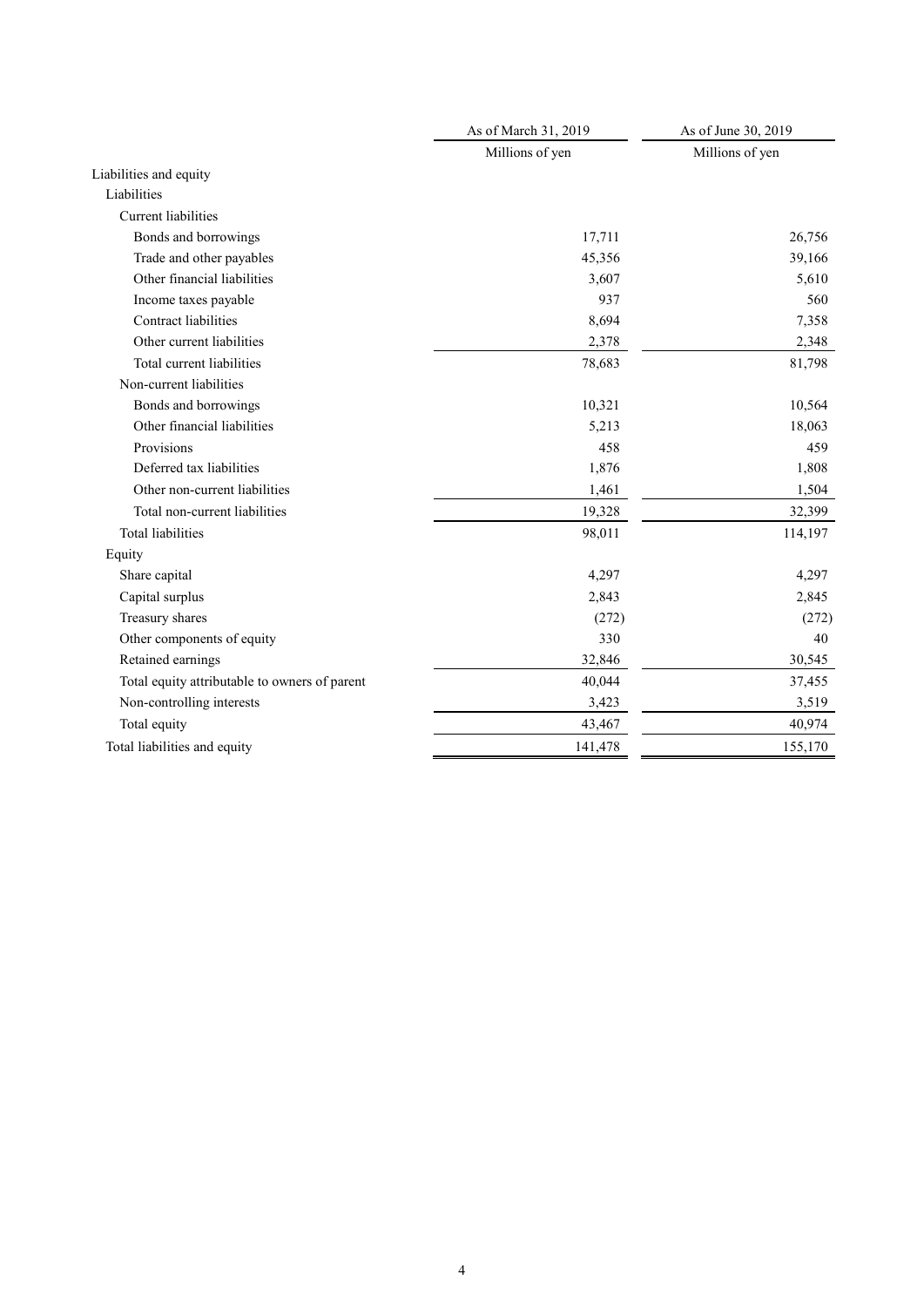|                                               | As of March 31, 2019 | As of June 30, 2019 |
|-----------------------------------------------|----------------------|---------------------|
|                                               | Millions of yen      | Millions of yen     |
| Liabilities and equity                        |                      |                     |
| Liabilities                                   |                      |                     |
| Current liabilities                           |                      |                     |
| Bonds and borrowings                          | 17,711               | 26,756              |
| Trade and other payables                      | 45,356               | 39,166              |
| Other financial liabilities                   | 3,607                | 5,610               |
| Income taxes payable                          | 937                  | 560                 |
| Contract liabilities                          | 8,694                | 7,358               |
| Other current liabilities                     | 2,378                | 2,348               |
| Total current liabilities                     | 78,683               | 81,798              |
| Non-current liabilities                       |                      |                     |
| Bonds and borrowings                          | 10,321               | 10,564              |
| Other financial liabilities                   | 5,213                | 18,063              |
| Provisions                                    | 458                  | 459                 |
| Deferred tax liabilities                      | 1,876                | 1,808               |
| Other non-current liabilities                 | 1,461                | 1,504               |
| Total non-current liabilities                 | 19,328               | 32,399              |
| Total liabilities                             | 98,011               | 114,197             |
| Equity                                        |                      |                     |
| Share capital                                 | 4,297                | 4,297               |
| Capital surplus                               | 2,843                | 2,845               |
| Treasury shares                               | (272)                | (272)               |
| Other components of equity                    | 330                  | 40                  |
| Retained earnings                             | 32,846               | 30,545              |
| Total equity attributable to owners of parent | 40,044               | 37,455              |
| Non-controlling interests                     | 3,423                | 3,519               |
| Total equity                                  | 43,467               | 40,974              |
| Total liabilities and equity                  | 141,478              | 155,170             |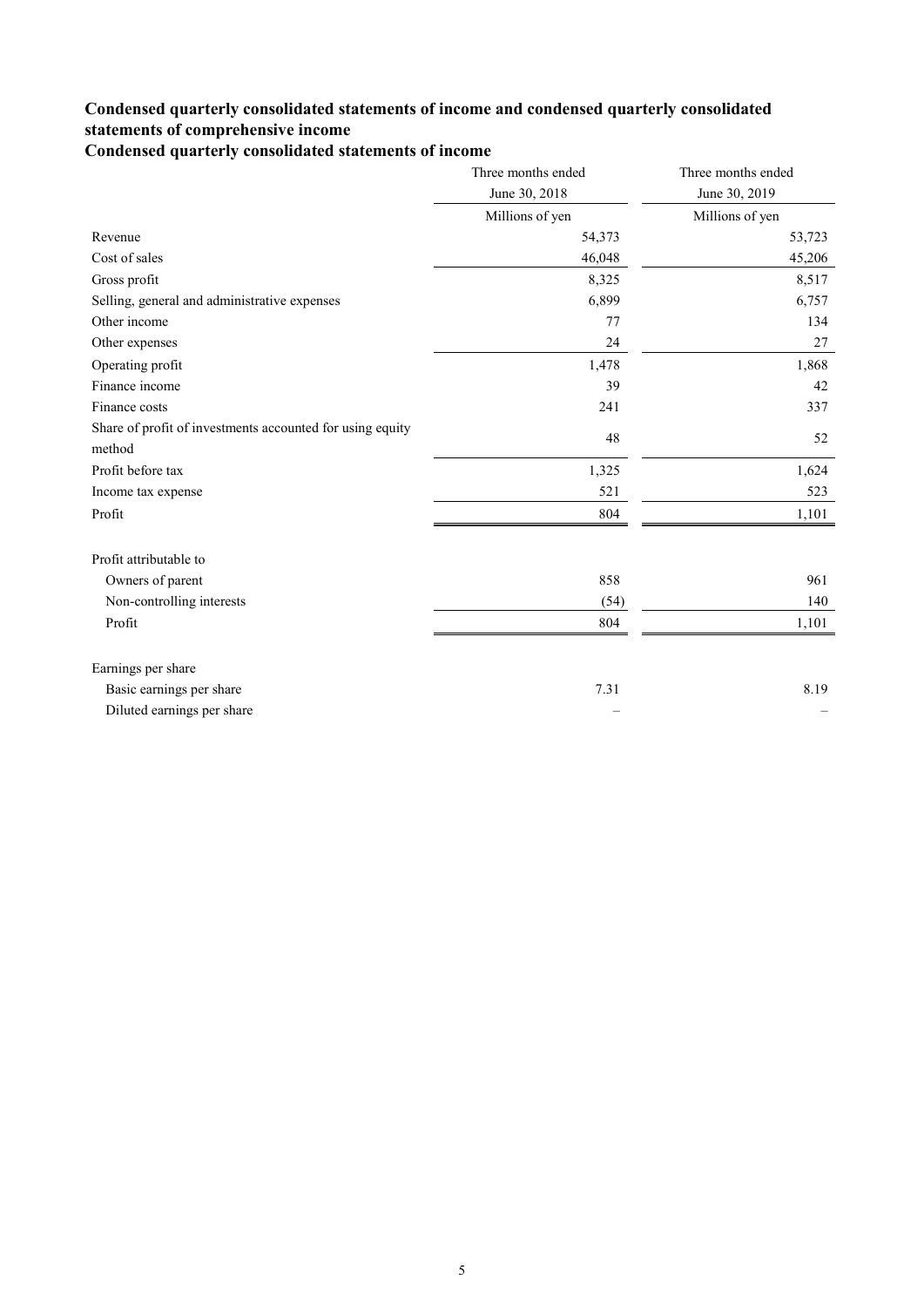## **Condensed quarterly consolidated statements of income and condensed quarterly consolidated statements of comprehensive income**

**Condensed quarterly consolidated statements of income**

|                                                                     | Three months ended | Three months ended |
|---------------------------------------------------------------------|--------------------|--------------------|
|                                                                     | June 30, 2018      | June 30, 2019      |
|                                                                     | Millions of yen    | Millions of yen    |
| Revenue                                                             | 54,373             | 53,723             |
| Cost of sales                                                       | 46,048             | 45,206             |
| Gross profit                                                        | 8,325              | 8,517              |
| Selling, general and administrative expenses                        | 6,899              | 6,757              |
| Other income                                                        | 77                 | 134                |
| Other expenses                                                      | 24                 | 27                 |
| Operating profit                                                    | 1,478              | 1,868              |
| Finance income                                                      | 39                 | 42                 |
| Finance costs                                                       | 241                | 337                |
| Share of profit of investments accounted for using equity<br>method | 48                 | 52                 |
| Profit before tax                                                   |                    | 1,624              |
|                                                                     | 1,325              |                    |
| Income tax expense                                                  | 521                | 523                |
| Profit                                                              | 804                | 1,101              |
| Profit attributable to                                              |                    |                    |
| Owners of parent                                                    | 858                | 961                |
| Non-controlling interests                                           | (54)               | 140                |
| Profit                                                              | 804                | 1,101              |
| Earnings per share                                                  |                    |                    |
| Basic earnings per share                                            | 7.31               | 8.19               |
| Diluted earnings per share                                          |                    |                    |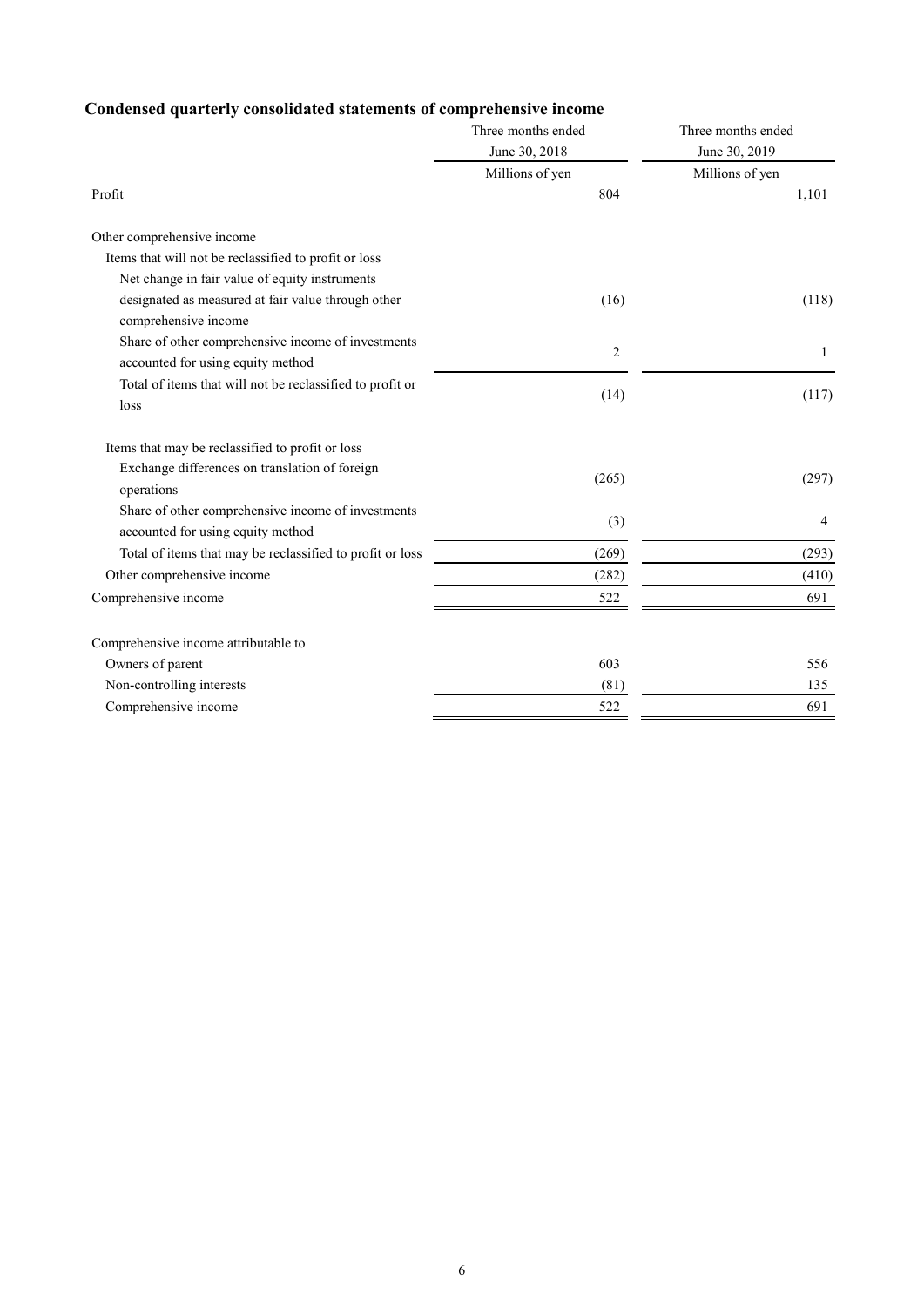# **Condensed quarterly consolidated statements of comprehensive income**

|                                                                                         | Three months ended | Three months ended |
|-----------------------------------------------------------------------------------------|--------------------|--------------------|
|                                                                                         | June 30, 2018      | June 30, 2019      |
|                                                                                         | Millions of yen    | Millions of yen    |
| Profit                                                                                  | 804                | 1,101              |
| Other comprehensive income                                                              |                    |                    |
| Items that will not be reclassified to profit or loss                                   |                    |                    |
| Net change in fair value of equity instruments                                          |                    |                    |
| designated as measured at fair value through other<br>comprehensive income              | (16)               | (118)              |
| Share of other comprehensive income of investments<br>accounted for using equity method | $\overline{2}$     | 1                  |
| Total of items that will not be reclassified to profit or<br>loss                       | (14)               | (117)              |
| Items that may be reclassified to profit or loss                                        |                    |                    |
| Exchange differences on translation of foreign<br>operations                            | (265)              | (297)              |
| Share of other comprehensive income of investments<br>accounted for using equity method | (3)                | 4                  |
| Total of items that may be reclassified to profit or loss                               | (269)              | (293)              |
| Other comprehensive income                                                              | (282)              | (410)              |
| Comprehensive income                                                                    | 522                | 691                |
| Comprehensive income attributable to                                                    |                    |                    |
| Owners of parent                                                                        | 603                | 556                |
| Non-controlling interests                                                               | (81)               | 135                |
| Comprehensive income                                                                    | 522                | 691                |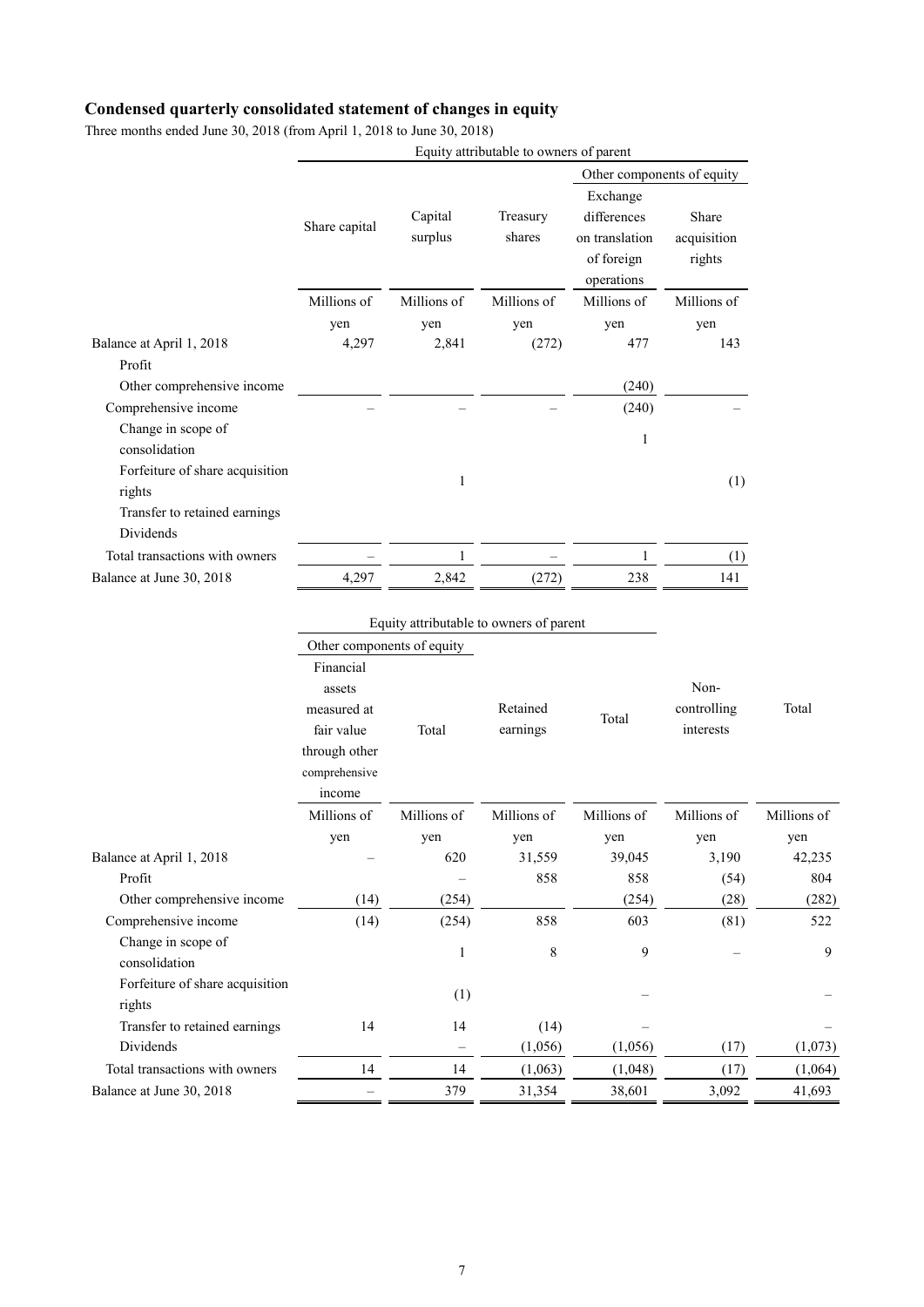# **Condensed quarterly consolidated statement of changes in equity**

| Three months ended June 30, 2018 (from April 1, 2018 to June 30, 2018) |  |
|------------------------------------------------------------------------|--|
|------------------------------------------------------------------------|--|

|                                           |               |                    | Equity attributable to owners of parent |                                                                       |                                |  |
|-------------------------------------------|---------------|--------------------|-----------------------------------------|-----------------------------------------------------------------------|--------------------------------|--|
|                                           |               |                    |                                         | Other components of equity                                            |                                |  |
|                                           | Share capital | Capital<br>surplus | Treasury<br>shares                      | Exchange<br>differences<br>on translation<br>of foreign<br>operations | Share<br>acquisition<br>rights |  |
|                                           | Millions of   | Millions of        | Millions of                             | Millions of                                                           | Millions of                    |  |
|                                           | yen           | yen                | yen                                     | yen                                                                   | yen                            |  |
| Balance at April 1, 2018                  | 4,297         | 2,841              | (272)                                   | 477                                                                   | 143                            |  |
| Profit                                    |               |                    |                                         |                                                                       |                                |  |
| Other comprehensive income                |               |                    |                                         | (240)                                                                 |                                |  |
| Comprehensive income                      |               |                    |                                         | (240)                                                                 |                                |  |
| Change in scope of<br>consolidation       |               |                    |                                         | 1                                                                     |                                |  |
| Forfeiture of share acquisition<br>rights |               | 1                  |                                         |                                                                       | (1)                            |  |
| Transfer to retained earnings             |               |                    |                                         |                                                                       |                                |  |
| Dividends                                 |               |                    |                                         |                                                                       |                                |  |
| Total transactions with owners            |               | 1                  |                                         | 1                                                                     | (1)                            |  |
| Balance at June 30, 2018                  | 4,297         | 2,842              | (272)                                   | 238                                                                   | 141                            |  |

|                                           | Equity attributable to owners of parent                                                      |                   |                      |             |                                  |             |
|-------------------------------------------|----------------------------------------------------------------------------------------------|-------------------|----------------------|-------------|----------------------------------|-------------|
|                                           | Other components of equity                                                                   |                   |                      |             |                                  |             |
|                                           | Financial<br>assets<br>measured at<br>fair value<br>through other<br>comprehensive<br>income | Total             | Retained<br>earnings | Total       | Non-<br>controlling<br>interests | Total       |
|                                           | Millions of                                                                                  | Millions of       | Millions of          | Millions of | Millions of                      | Millions of |
|                                           | yen                                                                                          | yen               | yen                  | yen         | yen                              | yen         |
| Balance at April 1, 2018                  |                                                                                              | 620               | 31,559               | 39,045      | 3,190                            | 42,235      |
| Profit                                    |                                                                                              |                   | 858                  | 858         | (54)                             | 804         |
| Other comprehensive income                | (14)                                                                                         | (254)             |                      | (254)       | (28)                             | (282)       |
| Comprehensive income                      | (14)                                                                                         | (254)             | 858                  | 603         | (81)                             | 522         |
| Change in scope of<br>consolidation       |                                                                                              | 1                 | $\,8\,$              | 9           |                                  | 9           |
| Forfeiture of share acquisition<br>rights |                                                                                              | (1)               |                      |             |                                  |             |
| Transfer to retained earnings             | 14                                                                                           | 14                | (14)                 |             |                                  |             |
| Dividends                                 |                                                                                              | $\qquad \qquad -$ | (1,056)              | (1,056)     | (17)                             | (1,073)     |
| Total transactions with owners            | 14                                                                                           | 14                | (1,063)              | (1,048)     | (17)                             | (1,064)     |
| Balance at June 30, 2018                  |                                                                                              | 379               | 31,354               | 38,601      | 3,092                            | 41,693      |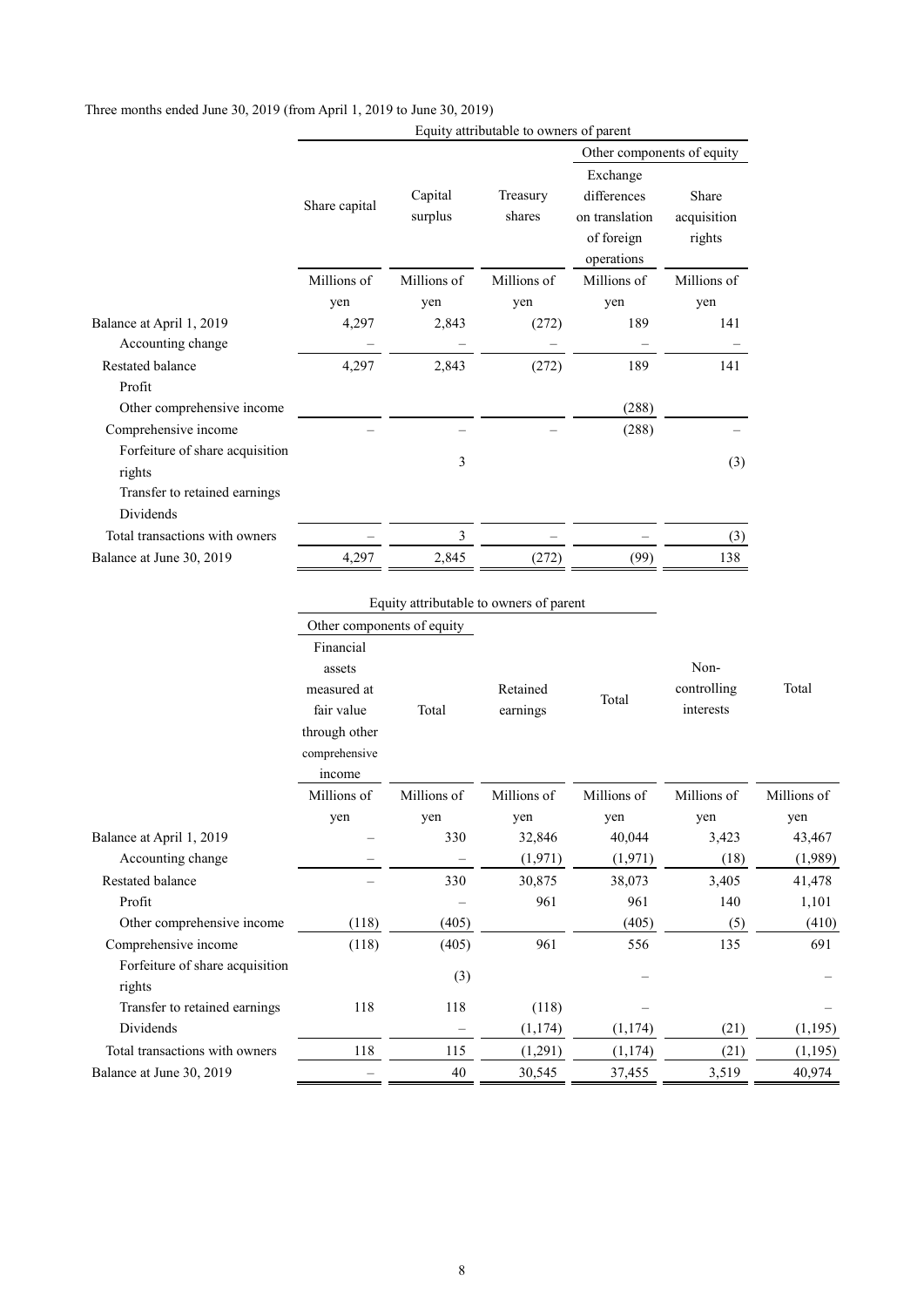|                                           | Equity attributable to owners of parent |                    |                    |                                                                       |                                |  |
|-------------------------------------------|-----------------------------------------|--------------------|--------------------|-----------------------------------------------------------------------|--------------------------------|--|
|                                           |                                         |                    |                    | Other components of equity                                            |                                |  |
|                                           | Share capital                           | Capital<br>surplus | Treasury<br>shares | Exchange<br>differences<br>on translation<br>of foreign<br>operations | Share<br>acquisition<br>rights |  |
|                                           | Millions of                             | Millions of        | Millions of        | Millions of                                                           | Millions of                    |  |
|                                           | yen                                     | yen                | yen                | yen                                                                   | yen                            |  |
| Balance at April 1, 2019                  | 4,297                                   | 2,843              | (272)              | 189                                                                   | 141                            |  |
| Accounting change                         |                                         |                    |                    |                                                                       |                                |  |
| Restated balance                          | 4,297                                   | 2,843              | (272)              | 189                                                                   | 141                            |  |
| Profit                                    |                                         |                    |                    |                                                                       |                                |  |
| Other comprehensive income                |                                         |                    |                    | (288)                                                                 |                                |  |
| Comprehensive income                      |                                         |                    |                    | (288)                                                                 |                                |  |
| Forfeiture of share acquisition<br>rights |                                         | 3                  |                    |                                                                       | (3)                            |  |
| Transfer to retained earnings             |                                         |                    |                    |                                                                       |                                |  |
| Dividends                                 |                                         |                    |                    |                                                                       |                                |  |
| Total transactions with owners            |                                         | 3                  |                    |                                                                       | (3)                            |  |
| Balance at June 30, 2019                  | 4,297                                   | 2,845              | (272)              | (99)                                                                  | 138                            |  |

#### Three months ended June 30, 2019 (from April 1, 2019 to June 30, 2019)

|                                           | Other components of equity                                                         |             |                      |             |                                  |             |
|-------------------------------------------|------------------------------------------------------------------------------------|-------------|----------------------|-------------|----------------------------------|-------------|
|                                           | Financial<br>assets<br>measured at<br>fair value<br>through other<br>comprehensive | Total       | Retained<br>earnings | Total       | Non-<br>controlling<br>interests | Total       |
|                                           | income<br>Millions of                                                              | Millions of | Millions of          | Millions of | Millions of                      |             |
|                                           |                                                                                    |             |                      |             |                                  | Millions of |
|                                           | yen                                                                                | yen         | yen                  | yen         | yen                              | yen         |
| Balance at April 1, 2019                  |                                                                                    | 330         | 32,846               | 40,044      | 3,423                            | 43,467      |
| Accounting change                         |                                                                                    |             | (1,971)              | (1,971)     | (18)                             | (1,989)     |
| <b>Restated balance</b>                   |                                                                                    | 330         | 30,875               | 38,073      | 3,405                            | 41,478      |
| Profit                                    |                                                                                    |             | 961                  | 961         | 140                              | 1,101       |
| Other comprehensive income                | (118)                                                                              | (405)       |                      | (405)       | (5)                              | (410)       |
| Comprehensive income                      | (118)                                                                              | (405)       | 961                  | 556         | 135                              | 691         |
| Forfeiture of share acquisition<br>rights |                                                                                    | (3)         |                      |             |                                  |             |
| Transfer to retained earnings             | 118                                                                                | 118         | (118)                |             |                                  |             |
| Dividends                                 |                                                                                    |             | (1,174)              | (1, 174)    | (21)                             | (1, 195)    |
| Total transactions with owners            | 118                                                                                | 115         | (1,291)              | (1, 174)    | (21)                             | (1,195)     |
| Balance at June 30, 2019                  |                                                                                    | 40          | 30,545               | 37,455      | 3,519                            | 40,974      |
|                                           |                                                                                    |             |                      |             |                                  |             |

Equity attributable to owners of parent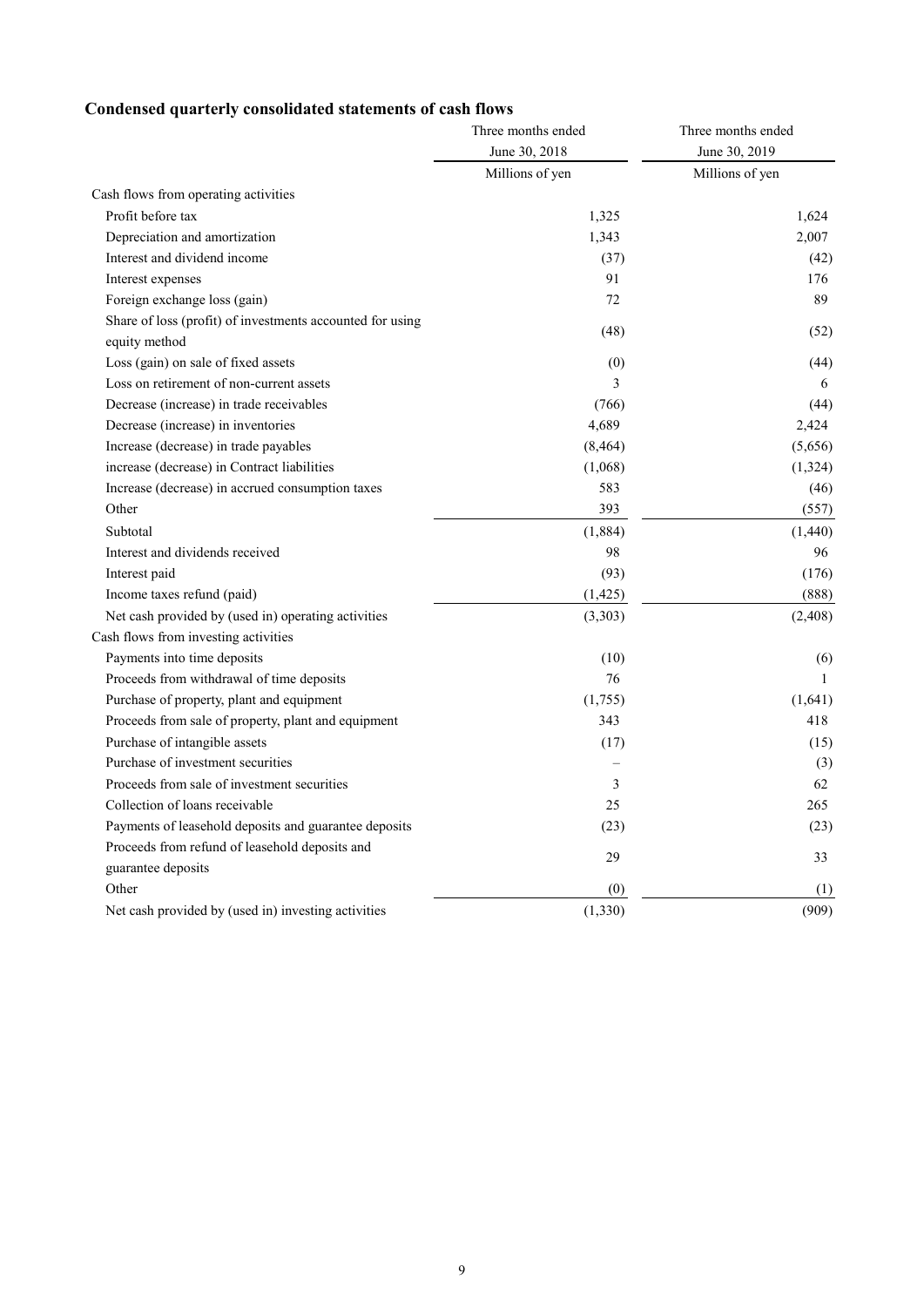# **Condensed quarterly consolidated statements of cash flows**

|                                                                            | Three months ended | Three months ended<br>June 30, 2019 |  |
|----------------------------------------------------------------------------|--------------------|-------------------------------------|--|
|                                                                            | June 30, 2018      |                                     |  |
|                                                                            | Millions of yen    | Millions of yen                     |  |
| Cash flows from operating activities                                       |                    |                                     |  |
| Profit before tax                                                          | 1,325              | 1,624                               |  |
| Depreciation and amortization                                              | 1,343              | 2,007                               |  |
| Interest and dividend income                                               | (37)               | (42)                                |  |
| Interest expenses                                                          | 91                 | 176                                 |  |
| Foreign exchange loss (gain)                                               | 72                 | 89                                  |  |
| Share of loss (profit) of investments accounted for using<br>equity method | (48)               | (52)                                |  |
| Loss (gain) on sale of fixed assets                                        | (0)                | (44)                                |  |
| Loss on retirement of non-current assets                                   | 3                  | 6                                   |  |
| Decrease (increase) in trade receivables                                   | (766)              | (44)                                |  |
| Decrease (increase) in inventories                                         | 4,689              | 2,424                               |  |
| Increase (decrease) in trade payables                                      | (8, 464)           | (5,656)                             |  |
| increase (decrease) in Contract liabilities                                | (1,068)            | (1,324)                             |  |
| Increase (decrease) in accrued consumption taxes                           | 583                | (46)                                |  |
| Other                                                                      | 393                | (557)                               |  |
| Subtotal                                                                   | (1,884)            | (1,440)                             |  |
| Interest and dividends received                                            | 98                 | 96                                  |  |
| Interest paid                                                              | (93)               | (176)                               |  |
| Income taxes refund (paid)                                                 | (1, 425)           | (888)                               |  |
| Net cash provided by (used in) operating activities                        | (3,303)            | (2, 408)                            |  |
| Cash flows from investing activities                                       |                    |                                     |  |
| Payments into time deposits                                                | (10)               | (6)                                 |  |
| Proceeds from withdrawal of time deposits                                  | 76                 | $\mathbf{1}$                        |  |
| Purchase of property, plant and equipment                                  | (1,755)            | (1,641)                             |  |
| Proceeds from sale of property, plant and equipment                        | 343                | 418                                 |  |
| Purchase of intangible assets                                              | (17)               | (15)                                |  |
| Purchase of investment securities                                          |                    | (3)                                 |  |
| Proceeds from sale of investment securities                                | 3                  | 62                                  |  |
| Collection of loans receivable                                             | 25                 | 265                                 |  |
| Payments of leasehold deposits and guarantee deposits                      | (23)               | (23)                                |  |
| Proceeds from refund of leasehold deposits and                             | 29                 | 33                                  |  |
| guarantee deposits                                                         |                    |                                     |  |
| Other                                                                      | (0)                | (1)                                 |  |
| Net cash provided by (used in) investing activities                        | (1, 330)           | (909)                               |  |